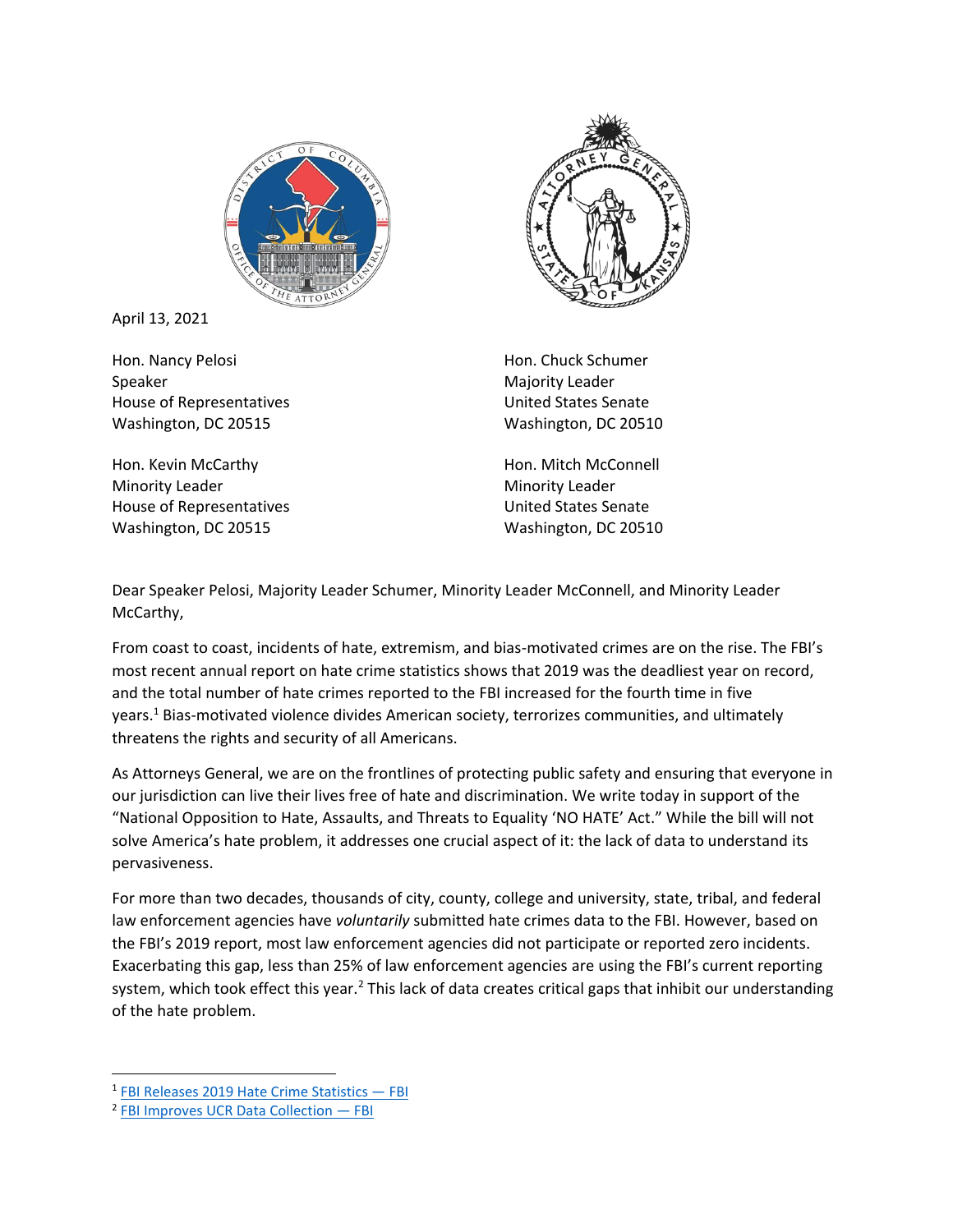

April 13, 2021

Hon. Nancy Pelosi Speaker House of Representatives Washington, DC 20515

Hon. Kevin McCarthy Minority Leader House of Representatives Washington, DC 20515



Hon. Chuck Schumer Majority Leader United States Senate Washington, DC 20510

Hon. Mitch McConnell Minority Leader United States Senate Washington, DC 20510

Dear Speaker Pelosi, Majority Leader Schumer, Minority Leader McConnell, and Minority Leader McCarthy,

From coast to coast, incidents of hate, extremism, and bias-motivated crimes are on the rise. The FBI's most recent annual report on hate crime statistics shows that 2019 was the deadliest year on record, and the total number of hate crimes reported to the FBI increased for the fourth time in five years.<sup>1</sup> Bias-motivated violence divides American society, terrorizes communities, and ultimately threatens the rights and security of all Americans.

As Attorneys General, we are on the frontlines of protecting public safety and ensuring that everyone in our jurisdiction can live their lives free of hate and discrimination. We write today in support of the "National Opposition to Hate, Assaults, and Threats to Equality 'NO HATE' Act." While the bill will not solve America's hate problem, it addresses one crucial aspect of it: the lack of data to understand its pervasiveness.

For more than two decades, thousands of city, county, college and university, state, tribal, and federal law enforcement agencies have *voluntarily* submitted hate crimes data to the FBI. However, based on the FBI's 2019 report, most law enforcement agencies did not participate or reported zero incidents. Exacerbating this gap, less than 25% of law enforcement agencies are using the FBI's current reporting system, which took effect this year.<sup>2</sup> This lack of data creates critical gaps that inhibit our understanding of the hate problem.

<sup>&</sup>lt;sup>1</sup> [FBI Releases 2019 Hate Crime Statistics](https://www.fbi.gov/news/pressrel/press-releases/fbi-releases-2019-hate-crime-statistics) — FBI

<sup>&</sup>lt;sup>2</sup> [FBI Improves UCR Data Collection](https://www.fbi.gov/file-repository/ucr/fbi-improves-ucr-data-collection-december-2019/view) – FBI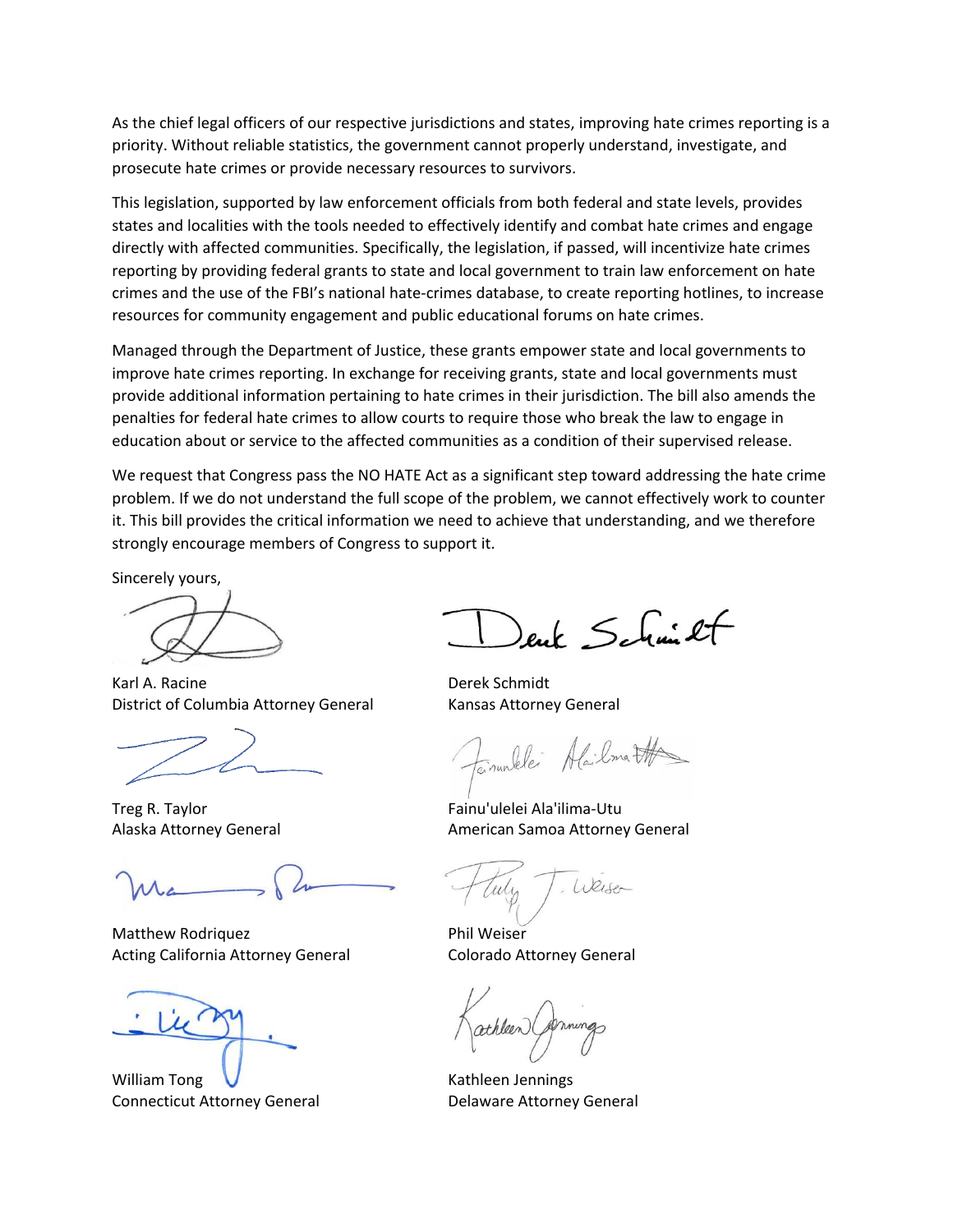As the chief legal officers of our respective jurisdictions and states, improving hate crimes reporting is a priority. Without reliable statistics, the government cannot properly understand, investigate, and prosecute hate crimes or provide necessary resources to survivors.

This legislation, supported by law enforcement officials from both federal and state levels, provides states and localities with the tools needed to effectively identify and combat hate crimes and engage directly with affected communities. Specifically, the legislation, if passed, will incentivize hate crimes reporting by providing federal grants to state and local government to train law enforcement on hate crimes and the use of the FBI's national hate-crimes database, to create reporting hotlines, to increase resources for community engagement and public educational forums on hate crimes.

Managed through the Department of Justice, these grants empower state and local governments to improve hate crimes reporting. In exchange for receiving grants, state and local governments must provide additional information pertaining to hate crimes in their jurisdiction. The bill also amends the penalties for federal hate crimes to allow courts to require those who break the law to engage in education about or service to the affected communities as a condition of their supervised release.

We request that Congress pass the NO HATE Act as a significant step toward addressing the hate crime problem. If we do not understand the full scope of the problem, we cannot effectively work to counter it. This bill provides the critical information we need to achieve that understanding, and we therefore strongly encourage members of Congress to support it.

Sincerely yours,

Karl A. Racine **Derek Schmidt** District of Columbia Attorney General Kansas Attorney General

Matthew Rodriquez **Phil Weiser** Acting California Attorney General Colorado Attorney General

William Tong  $\bigvee$  Kathleen Jennings Connecticut Attorney General **Connecticut Attorney General** 

enk Schmilt

invalde Alailmatte

Treg R. Taylor Fainu'ulelei Ala'ilima-Utu Alaska Attorney General **American Samoa Attorney General** 

Weiser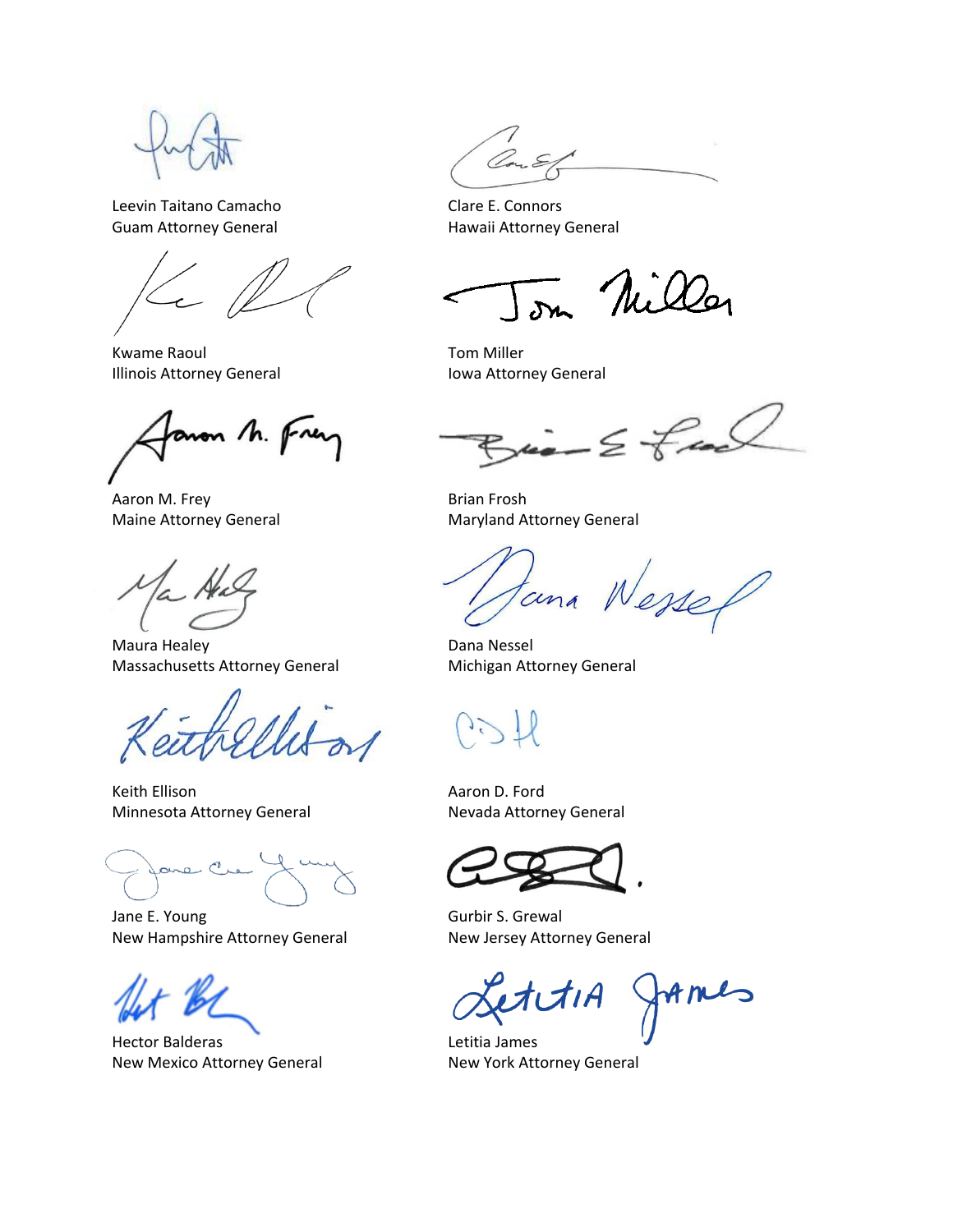Leevin Taitano Camacho Charles Clare E. Connors Guam Attorney General **Hawaii Attorney General** 

Kwame Raoul **Tom Miller** Illinois Attorney General **Internal Internal Internal** Iowa Attorney General

son M. Frey

Aaron M. Frey **Brian Frosh** 

Maura Healey **Dana Nessel** Massachusetts Attorney General Michigan Attorney General

Keith Ellison **Aaron D. Ford Aaron D. Ford** Minnesota Attorney General Nevada Attorney General

ane C

Jane E. Young Gurbir S. Grewal New Hampshire Attorney General New Jersey Attorney General

Hector Balderas Letitia James New Mexico Attorney General New York Attorney General

on Nilla

 $\mu$   $\geq$   $\neq$  and

Maine Attorney General Maryland Attorney General

Nesse tuna

fames tıA